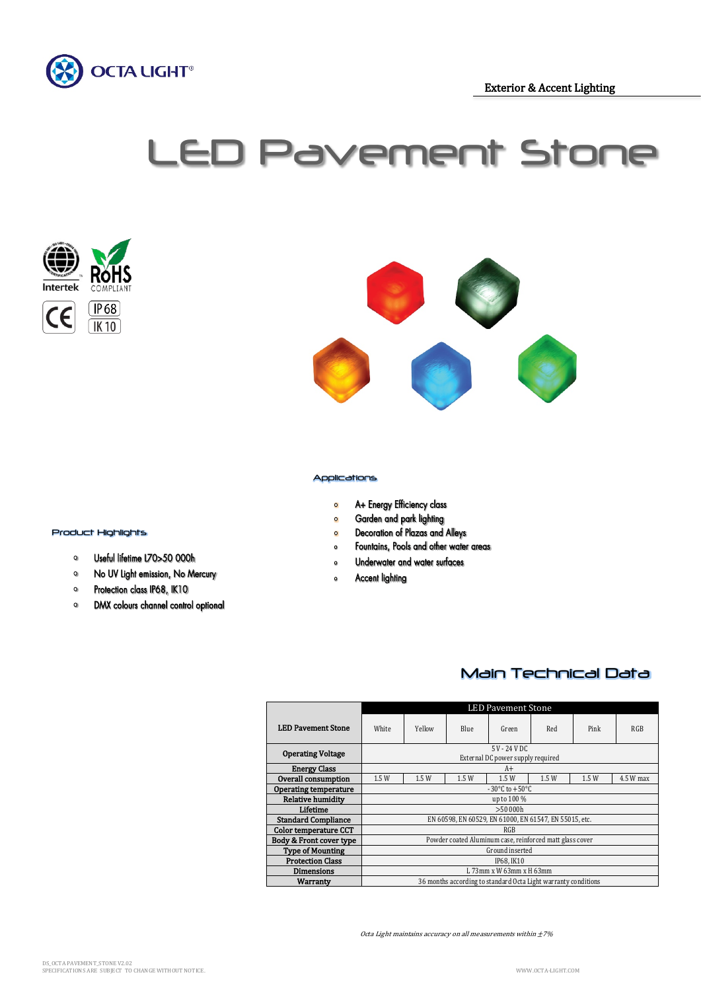

Exterior & Accent Lighting

# LED Pavement Stone





#### Applications

- A+ Energy Efficiency class  $\bullet$
- Garden and park lighting  $\bullet$
- Decoration of Plazas and Alleys  $\bullet$
- Fountains, Pools and other water areas  $\bullet$
- Underwater and water surfaces  $\circ$
- $\bullet$ **Accent lighting**

# $\frac{1}{2}$ Product Highlights

- Useful lifetime L70>50 000h  $\mathsf{o}$
- No UV Light emission, No Mercury  $\circ$
- Protection class IP68, IK10  $\circ$
- $\mathsf{o}$ DMX colours channel control optional

## Main Technical Data

|                              | <b>LED Pavement Stone</b>                                      |        |             |       |      |      |            |  |
|------------------------------|----------------------------------------------------------------|--------|-------------|-------|------|------|------------|--|
| <b>LED Pavement Stone</b>    | White                                                          | Yellow | <b>Blue</b> | Green | Red  | Pink | <b>RGB</b> |  |
| <b>Operating Voltage</b>     | 5 V - 24 V DC<br>External DC power supply required             |        |             |       |      |      |            |  |
| <b>Energy Class</b>          | $A+$                                                           |        |             |       |      |      |            |  |
| Overall consumption          | 1.5W                                                           | 1.5W   | 1.5W        | 1.5W  | 1.5W | 1.5W | 4.5 W max  |  |
| <b>Operating temperature</b> | $-30^{\circ}$ C to $+50^{\circ}$ C                             |        |             |       |      |      |            |  |
| Relative humidity            | up to 100 %                                                    |        |             |       |      |      |            |  |
| Lifetime                     | >50,000h                                                       |        |             |       |      |      |            |  |
| <b>Standard Compliance</b>   | EN 60598, EN 60529, EN 61000, EN 61547, EN 55015, etc.         |        |             |       |      |      |            |  |
| <b>Color temperature CCT</b> | RGB                                                            |        |             |       |      |      |            |  |
| Body & Front cover type      | Powder coated Aluminum case, reinforced matt glass cover       |        |             |       |      |      |            |  |
| <b>Type of Mounting</b>      | Ground inserted                                                |        |             |       |      |      |            |  |
| <b>Protection Class</b>      | IP68. IK10                                                     |        |             |       |      |      |            |  |
| <b>Dimensions</b>            | L 73mm x W 63mm x H 63mm                                       |        |             |       |      |      |            |  |
| Warranty                     | 36 months according to standard Octa Light warranty conditions |        |             |       |      |      |            |  |